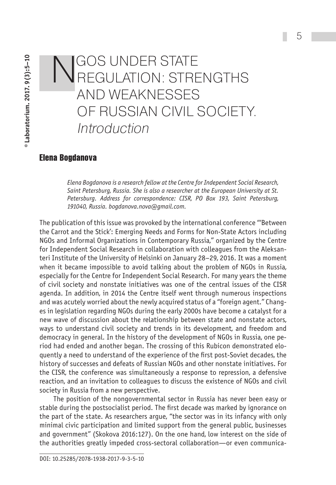# NGOS UNDER STATE<br>REGULATION: STRENGTHS and Weaknesses of Russian Civil Society. Introduction

# **Elena Bogdanova**

*Elena Bogdanova is a research fellow at the Centre for Independent Social Research, Saint Petersburg, Russia. She is also a researcher at the European University at St. Petersburg. Address for correspondence: CISR, PO Box 193, Saint Petersburg, 191040, Russia. bogdanova.nova@gmail.com.*

The publication of this issue was provoked by the international conference "'Between the Carrot and the Stick': Emerging Needs and Forms for Non-State Actors including NGOs and Informal Organizations in Contemporary Russia," organized by the Centre for Independent Social Research in collaboration with colleagues from the Aleksanteri Institute of the University of Helsinki on January 28–29, 2016. It was a moment when it became impossible to avoid talking about the problem of NGOs in Russia, especially for the Centre for Independent Social Research. For many years the theme of civil society and nonstate initiatives was one of the central issues of the CISR agenda. In addition, in 2014 the Centre itself went through numerous inspections and was acutely worried about the newly acquired status of a "foreign agent." Changes in legislation regarding NGOs during the early 2000s have become a catalyst for a new wave of discussion about the relationship between state and nonstate actors, ways to understand civil society and trends in its development, and freedom and democracy in general. In the history of the development of NGOs in Russia, one period had ended and another began. The crossing of this Rubicon demonstrated eloquently a need to understand of the experience of the first post-Soviet decades, the history of successes and defeats of Russian NGOs and other nonstate initiatives. For the CISR, the conference was simultaneously a response to repression, a defensive reaction, and an invitation to colleagues to discuss the existence of NGOs and civil society in Russia from a new perspective.

The position of the nongovernmental sector in Russia has never been easy or stable during the postsocialist period. The first decade was marked by ignorance on the part of the state. As researchers argue, "the sector was in its infancy with only minimal civic participation and limited support from the general public, businesses and government" (Skokova 2016:127). On the one hand, low interest on the side of the authorities greatly impeded cross-sectoral collaboration—or even communica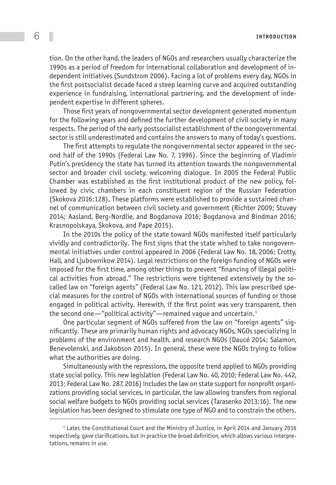tion. On the other hand, the leaders of NGOs and researchers usually characterize the 1990s as a period of freedom for international collaboration and development of independent initiatives (Sundstrom 2006). Facing a lot of problems every day, NGOs in the first postsocialist decade faced a steep learning curve and acquired outstanding experience in fundraising, international partnering, and the development of independent expertise in different spheres.

Those first years of nongovernmental sector development generated momentum for the following years and defined the further development of civil society in many respects. The period of the early postsocialist establishment of the nongovernmental sector is still underestimated and contains the answers to many of today's questions.

The first attempts to regulate the nongovernmental sector appeared in the second half of the 1990s (Federal Law No. 7, 1996). Since the beginning of Vladimir Putin's presidency the state has turned its attention towards the nongovernmental sector and broader civil society, welcoming dialogue. In 2005 the Federal Public Chamber was established as the first institutional product of the new policy, followed by civic chambers in each constituent region of the Russian Federation (Skokova 2016:128). These platforms were established to provide a sustained channel of communication between civil society and government (Richter 2009; Stuvøy 2014; Aasland, Berg-Nordlie, and Bogdanova 2016; Bogdanova and Bindman 2016; Krasnopolskaya, Skokova, and Pape 2015).

In the 2010s the policy of the state toward NGOs manifested itself particularly vividly and contradictorily. The first signs that the state wished to take nongovernmental initiatives under control appeared in 2006 (Federal Law No. 18, 2006; Crotty, Hall, and Ljubownikow 2014). Legal restrictions on the foreign funding of NGOs were imposed for the first time, among other things to prevent "financing of illegal political activities from abroad." The restrictions were tightened extensively by the socalled law on "foreign agents" (Federal Law No. 121, 2012). This law prescribed special measures for the control of NGOs with international sources of funding or those engaged in political activity. Herewith, if the first point was very transparent, then the second one—"political activity"—remained vague and uncertain.1

One particular segment of NGOs suffered from the law on "foreign agents" significantly. These are primarily human rights and advocacy NGOs, NGOs specializing in problems of the environment and health, and research NGOs (Daucé 2014; Salamon, Benevolenski, and Jakobson 2015). In general, these were the NGOs trying to follow what the authorities are doing.

Simultaneously with the repressions, the opposite trend applied to NGOs providing state social policy. This new legislation (Federal Law No. 40, 2010; Federal Law No. 442, 2013; Federal Law No. 287, 2016) includes the law on state support for nonprofit organizations providing social services, in particular, the law allowing transfers from regional social welfare budgets to NGOs providing social services (Tarasenko 2013:16). The new legislation has been designed to stimulate one type of NGO and to constrain the others.

<sup>1</sup> Later, the Constitutional Court and the Ministry of Justice, in April 2014 and January 2016 respectively, gave clarifications, but in practice the broad definition, which allows various interpretations, remains in use.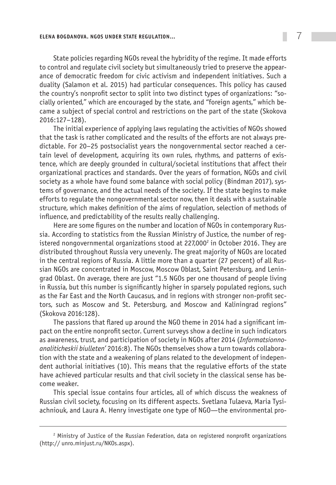State policies regarding NGOs reveal the hybridity of the regime. It made efforts to control and regulate civil society but simultaneously tried to preserve the appearance of democratic freedom for civic activism and independent initiatives. Such a duality (Salamon et al. 2015) had particular consequences. This policy has caused the country's nonprofit sector to split into two distinct types of organizations: "socially oriented," which are encouraged by the state, and "foreign agents," which became a subject of special control and restrictions on the part of the state (Skokova 2016:127–128).

The initial experience of applying laws regulating the activities of NGOs showed that the task is rather complicated and the results of the efforts are not always predictable. For 20–25 postsocialist years the nongovernmental sector reached a certain level of development, acquiring its own rules, rhythms, and patterns of existence, which are deeply grounded in cultural/societal institutions that affect their organizational practices and standards. Over the years of formation, NGOs and civil society as a whole have found some balance with social policy (Bindman 2017), systems of governance, and the actual needs of the society. If the state begins to make efforts to regulate the nongovernmental sector now, then it deals with a sustainable structure, which makes definition of the aims of regulation, selection of methods of influence, and predictability of the results really challenging.

Here are some figures on the number and location of NGOs in contemporary Russia. According to statistics from the Russian Ministry of Justice, the number of registered nongovernmental organizations stood at 227,000 $^{\circ}$  in October 2016. They are distributed throughout Russia very unevenly. The great majority of NGOs are located in the central regions of Russia. A little more than a quarter (27 percent) of all Russian NGOs are concentrated in Moscow, Moscow Oblast, Saint Petersburg, and Leningrad Oblast. On average, there are just "1.5 NGOs per one thousand of people living in Russia, but this number is significantly higher in sparsely populated regions, such as the Far East and the North Caucasus, and in regions with stronger non-profit sectors, such as Moscow and St. Petersburg, and Moscow and Kaliningrad regions" (Skokova 2016:128).

The passions that flared up around the NGO theme in 2014 had a significant impact on the entire nonprofit sector. Current surveys show a decline in such indicators as awareness, trust, and participation of society in NGOs after 2014 (*Informatsionnoanaliticheskii biulleten'* 2016:8). The NGOs themselves show a turn towards collaboration with the state and a weakening of plans related to the development of independent authorial initiatives (10). This means that the regulative efforts of the state have achieved particular results and that civil society in the classical sense has become weaker.

This special issue contains four articles, all of which discuss the weakness of Russian civil society, focusing on its different aspects. Svetlana Tulaeva, Maria Tysiachniouk, and Laura A. Henry investigate one type of NGO—the environmental pro-

<sup>2</sup> Ministry of Justice of the Russian Federation, data on registered nonprofit organizations (http:// unro.minjust.ru/NKOs.aspx).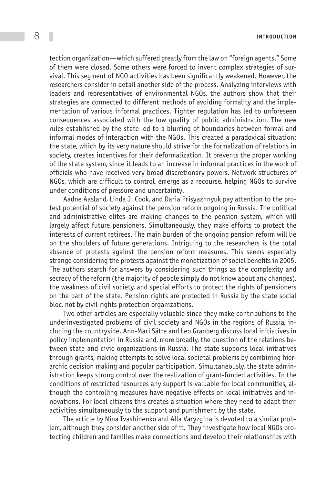8 **Introduct ion**

tection organization—which suffered greatly from the law on "foreign agents." Some of them were closed. Some others were forced to invent complex strategies of survival. This segment of NGO activities has been significantly weakened. However, the researchers consider in detail another side of the process. Analyzing interviews with leaders and representatives of environmental NGOs, the authors show that their strategies are connected to different methods of avoiding formality and the implementation of various informal practices. Tighter regulation has led to unforeseen consequences associated with the low quality of public administration. The new rules established by the state led to a blurring of boundaries between formal and informal modes of interaction with the NGOs. This created a paradoxical situation: the state, which by its very nature should strive for the formalization of relations in society, creates incentives for their deformalization. It prevents the proper working of the state system, since it leads to an increase in informal practices in the work of officials who have received very broad discretionary powers. Network structures of NGOs, which are difficult to control, emerge as a recourse, helping NGOs to survive under conditions of pressure and uncertainty.

Aadne Aasland, Linda J. Cook, and Daria Prisyazhnyuk pay attention to the protest potential of society against the pension reform ongoing in Russia. The political and administrative elites are making changes to the pension system, which will largely affect future pensioners. Simultaneously, they make efforts to protect the interests of current retirees. The main burden of the ongoing pension reform will lie on the shoulders of future generations. Intriguing to the researchers is the total absence of protests against the pension reform measures. This seems especially strange considering the protests against the monetization of social benefits in 2005. The authors search for answers by considering such things as the complexity and secrecy of the reform (the majority of people simply do not know about any changes), the weakness of civil society, and special efforts to protect the rights of pensioners on the part of the state. Pension rights are protected in Russia by the state social bloc, not by civil rights protection organizations.

Two other articles are especially valuable since they make contributions to the underinvestigated problems of civil society and NGOs in the regions of Russia, including the countryside. Ann-Mari Sätre and Leo Granberg discuss local initiatives in policy implementation in Russia and, more broadly, the question of the relations between state and civic organizations in Russia. The state supports local initiatives through grants, making attempts to solve local societal problems by combining hierarchic decision making and popular participation. Simultaneously, the state administration keeps strong control over the realization of grant-funded activities. In the conditions of restricted resources any support is valuable for local communities, although the controlling measures have negative effects on local initiatives and innovations. For local citizens this creates a situation where they need to adapt their activities simultaneously to the support and punishment by the state.

The article by Nina Ivashinenko and Alla Varyzgina is devoted to a similar problem, although they consider another side of it. They investigate how local NGOs protecting children and families make connections and develop their relationships with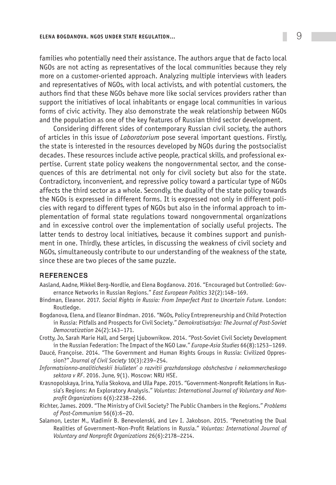#### **Elena Bogdanova. NGOs under State Regulation…** 9

families who potentially need their assistance. The authors argue that de facto local NGOs are not acting as representatives of the local communities because they rely more on a customer-oriented approach. Analyzing multiple interviews with leaders and representatives of NGOs, with local activists, and with potential customers, the authors find that these NGOs behave more like social services providers rather than support the initiatives of local inhabitants or engage local communities in various forms of civic activity. They also demonstrate the weak relationship between NGOs and the population as one of the key features of Russian third sector development.

Considering different sides of contemporary Russian civil society, the authors of articles in this issue of *Laboratorium* pose several important questions. Firstly, the state is interested in the resources developed by NGOs during the postsocialist decades. These resources include active people, practical skills, and professional expertise. Current state policy weakens the nongovernmental sector, and the consequences of this are detrimental not only for civil society but also for the state. Contradictory, inconvenient, and repressive policy toward a particular type of NGOs affects the third sector as a whole. Secondly, the duality of the state policy towards the NGOs is expressed in different forms. It is expressed not only in different policies with regard to different types of NGOs but also in the informal approach to implementation of formal state regulations toward nongovernmental organizations and in excessive control over the implementation of socially useful projects. The latter tends to destroy local initiatives, because it combines support and punishment in one. Thirdly, these articles, in discussing the weakness of civil society and NGOs, simultaneously contribute to our understanding of the weakness of the state, since these are two pieces of the same puzzle.

## **REFERENCES**

- Aasland, Aadne, Mikkel Berg-Nordlie, and Elena Bogdanova. 2016. "Encouraged but Controlled: Governance Networks in Russian Regions." *East European Politics* 32(2):148–169.
- Bindman, Eleanor. 2017. *Social Rights in Russia: From Imperfect Past to Uncertain Future.* London: Routledge.
- Bogdanova, Elena, and Eleanor Bindman. 2016. "NGOs, Policy Entrepreneurship and Child Protection in Russia: Pitfalls and Prospects for Civil Society." *Demokratisatsiya: The Journal of Post-Soviet Democratization* 24(2):143–171.
- Crotty, Jo, Sarah Marie Hall, and Sergej Ljubownikow. 2014. "Post-Soviet Civil Society Development in the Russian Federation: The Impact of the NGO Law." *Europe-Asia Studies* 66(8):1253–1269.
- Daucé, Françoise. 2014. "The Government and Human Rights Groups in Russia: Civilized Oppression?" *Journal of Civil Society* 10(3):239–254.
- *Informatsionno-analiticheskii biulleten' o razvitii grazhdanskogo obshchestva i nekommercheskogo sektora v RF*. 2016. June, 9(1). Moscow: NRU HSE.
- Krasnopolskaya, Irina, Yulia Skokova, and Ulla Pape. 2015. "Government-Nonprofit Relations in Russia's Regions: An Exploratory Analysis." *Voluntas: International Journal of Voluntary and Nonprofit Organizations* 6(6):2238–2266.
- Richter, James. 2009. "The Ministry of Civil Society? The Public Chambers in the Regions." *Problems of Post-Communism* 56(6):6–20.
- Salamon, Lester M., Vladimir B. Benevolenski, and Lev I. Jakobson. 2015. "Penetrating the Dual Realities of Government–Non-Profit Relations in Russia." *Voluntas: International Journal of Voluntary and Nonprofit Organizations* 26(6):2178–2214.